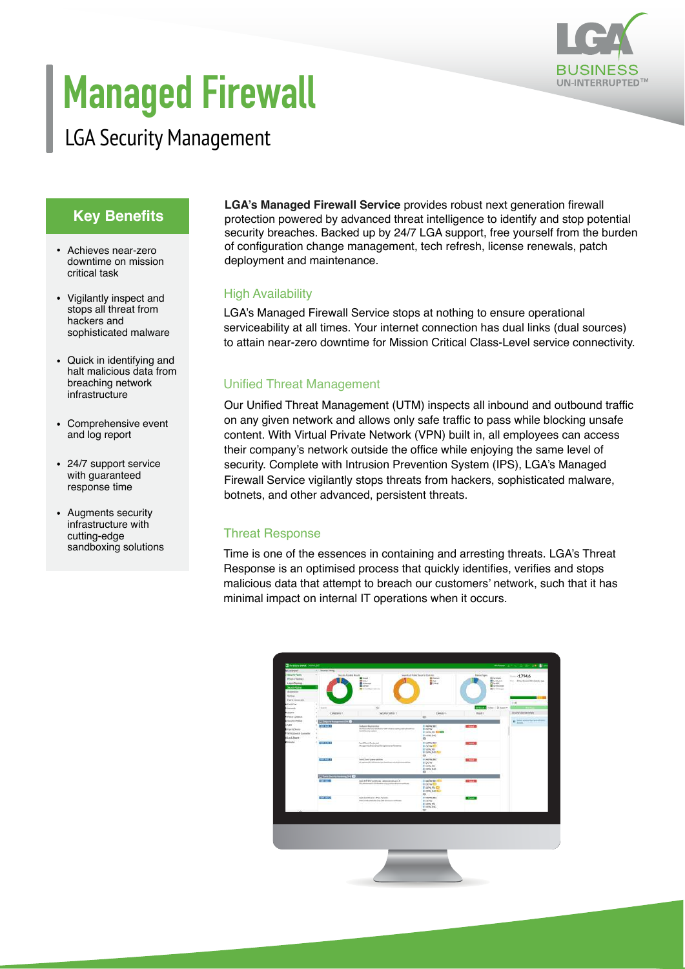

# **Managed Firewall**

# LGA Security Management

## **Key Benefits**

- Achieves near-zero downtime on mission critical task
- Vigilantly inspect and stops all threat from hackers and sophisticated malware
- Quick in identifying and halt malicious data from breaching network infrastructure
- Comprehensive event and log report
- 24/7 support service with guaranteed response time
- Augments security infrastructure with cutting-edge sandboxing solutions

**LGA's Managed Firewall Service** provides robust next generation firewall protection powered by advanced threat intelligence to identify and stop potential security breaches. Backed up by 24/7 LGA support, free yourself from the burden of configuration change management, tech refresh, license renewals, patch deployment and maintenance.

#### High Availability

LGA's Managed Firewall Service stops at nothing to ensure operational serviceability at all times. Your internet connection has dual links (dual sources) to attain near-zero downtime for Mission Critical Class-Level service connectivity.

### Unified Threat Management

Our Unified Threat Management (UTM) inspects all inbound and outbound traffic on any given network and allows only safe traffic to pass while blocking unsafe content. With Virtual Private Network (VPN) built in, all employees can access their company's network outside the office while enjoying the same level of security. Complete with Intrusion Prevention System (IPS), LGA's Managed Firewall Service vigilantly stops threats from hackers, sophisticated malware, botnets, and other advanced, persistent threats.

#### Threat Response

Time is one of the essences in containing and arresting threats. LGA's Threat Response is an optimised process that quickly identifies, verifies and stops malicious data that attempt to breach our customers' network, such that it has minimal impact on internal IT operations when it occurs.

| Danisoon -                                                                                                                                                                       | 1. Newer fame                     |                                                                                                                                |                                                                                          |                                                                                                                               |                                                       |
|----------------------------------------------------------------------------------------------------------------------------------------------------------------------------------|-----------------------------------|--------------------------------------------------------------------------------------------------------------------------------|------------------------------------------------------------------------------------------|-------------------------------------------------------------------------------------------------------------------------------|-------------------------------------------------------|
| <b>Security Fukers</b><br><b>Printed Startings</b><br>Light Chemies<br>Sociétique<br>Askenatore<br>between.                                                                      | ۰<br><b>Decorts Control Roads</b> | <b>Blue</b><br><b>Williams</b><br><b>Blond</b><br><b>Bancheron</b>                                                             | Severity of Folival Security Controls<br><b>Bisheline</b><br>Brent.<br><b>Billian</b>    | <b>Device Toyott</b><br><b>Greene</b><br><b>B</b> testama<br><b>Clinton</b><br><b>W</b> Tarificane<br><b>B</b> Family America | $-17946$<br>THE TRANSCRIPTIONAL BAY                   |
| Funris Commission<br><b>District</b>                                                                                                                                             |                                   |                                                                                                                                |                                                                                          |                                                                                                                               | 0.48                                                  |
| <b><i>P. Terminal R.</i></b><br><b>Electric</b><br>Falce & Diam.in.<br><b>Baseby Profiles</b><br>Lym 2<br>DeckOning<br>Philippine Committee<br>6 Los & Report<br><b>Eldowing</b> | 1 hours<br>w                      | $\Omega_{\rm c}$                                                                                                               |                                                                                          | Minist Net Stores                                                                                                             |                                                       |
|                                                                                                                                                                                  | Constant I.                       | Security Control 1                                                                                                             | Dealer F<br>w                                                                            | <b>Book 1</b>                                                                                                                 | <b>ImmyCerns Delain</b>                               |
|                                                                                                                                                                                  | E barrens america O               |                                                                                                                                |                                                                                          |                                                                                                                               | $\mathbf{0}$ . Similarly the fundamental $\mathbf{0}$ |
|                                                                                                                                                                                  | 000000<br>۷                       | Infant/Autovine<br>the facts whether crimedial or tell to which courtly cutter threat those<br>East Malays Livering<br>Pinana. | It was set<br>in ocra/<br>IF-187W, FOX 823 429<br>IF HEW END.<br>m                       | <b>College Street</b>                                                                                                         |                                                       |
|                                                                                                                                                                                  | <b>TIME MASS</b>                  | <b>Territori Periodel</b><br>Magazini desire italife appenditi festival<br><b>SEMBAR</b>                                       | IN NORWARD.<br><b>IF OCEAN OUT</b><br><b>IN NEW ORIGINAL</b><br>In teh chief STILL<br>m. | <b>STATISTICS</b>                                                                                                             |                                                       |
|                                                                                                                                                                                  | <b>CERTIFICATE</b><br>55 Jul      | <b>Fund Steel Views and King</b><br>Afragment Twitterstocks starting as a 44 percent by                                        | In NOTH BET<br>III SCFW<br>IF GEN PEL<br>is any ne.<br>取り                                | <b>SECTION</b>                                                                                                                |                                                       |
|                                                                                                                                                                                  | $-10$<br><b>Hilaman</b>           |                                                                                                                                |                                                                                          |                                                                                                                               |                                                       |
|                                                                                                                                                                                  | <b>STATISTICS</b>                 | most hif 1910 Carolinson   Administration (2.4 )<br>The addition restrict data department of a product and determined from     | 25 YACK MY SEE WITH<br><b>IN OCEAN AND</b><br><b>FIRWARD</b><br>is pricing \$50.<br>ets: | $0.1 - 1.1$                                                                                                                   |                                                       |
|                                                                                                                                                                                  | <b>QUELLED</b>                    | Sand Cardinal of Play Turnelli<br>The Corach shaddle adopted prima competitions                                                | иначено<br><b>ID DOTA</b><br><b>M-TOYAC RRU</b><br><b>IFINOING</b><br>$\equiv$           | $-$                                                                                                                           |                                                       |
|                                                                                                                                                                                  |                                   |                                                                                                                                |                                                                                          |                                                                                                                               |                                                       |
|                                                                                                                                                                                  |                                   |                                                                                                                                |                                                                                          |                                                                                                                               |                                                       |
|                                                                                                                                                                                  |                                   |                                                                                                                                |                                                                                          |                                                                                                                               |                                                       |